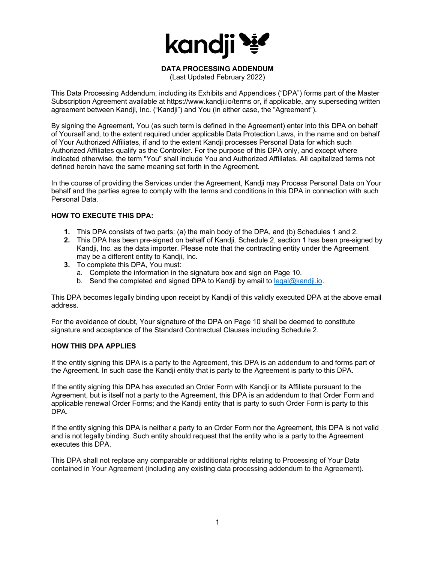

# **DATA PROCESSING ADDENDUM**

(Last Updated February 2022)

This Data Processing Addendum, including its Exhibits and Appendices ("DPA") forms part of the Master Subscription Agreement available at https://www.kandji.io/terms or, if applicable, any superseding written agreement between Kandji, Inc. ("Kandji") and You (in either case, the "Agreement").

By signing the Agreement, You (as such term is defined in the Agreement) enter into this DPA on behalf of Yourself and, to the extent required under applicable Data Protection Laws, in the name and on behalf of Your Authorized Affiliates, if and to the extent Kandji processes Personal Data for which such Authorized Affiliates qualify as the Controller. For the purpose of this DPA only, and except where indicated otherwise, the term "You" shall include You and Authorized Affiliates. All capitalized terms not defined herein have the same meaning set forth in the Agreement.

In the course of providing the Services under the Agreement, Kandji may Process Personal Data on Your behalf and the parties agree to comply with the terms and conditions in this DPA in connection with such Personal Data.

### **HOW TO EXECUTE THIS DPA:**

- **1.** This DPA consists of two parts: (a) the main body of the DPA, and (b) Schedules 1 and 2.
- **2.** This DPA has been pre-signed on behalf of Kandji. Schedule 2, section 1 has been pre-signed by Kandji, Inc. as the data importer. Please note that the contracting entity under the Agreement may be a different entity to Kandji, Inc.
- **3.** To complete this DPA, You must:
	- a. Complete the information in the signature box and sign on Page 10.
	- b. Send the completed and signed DPA to Kandii by email to  $\text{legal@kandi.io}$ .

This DPA becomes legally binding upon receipt by Kandji of this validly executed DPA at the above email address.

For the avoidance of doubt, Your signature of the DPA on Page 10 shall be deemed to constitute signature and acceptance of the Standard Contractual Clauses including Schedule 2.

## **HOW THIS DPA APPLIES**

If the entity signing this DPA is a party to the Agreement, this DPA is an addendum to and forms part of the Agreement. In such case the Kandji entity that is party to the Agreement is party to this DPA.

If the entity signing this DPA has executed an Order Form with Kandji or its Affiliate pursuant to the Agreement, but is itself not a party to the Agreement, this DPA is an addendum to that Order Form and applicable renewal Order Forms; and the Kandji entity that is party to such Order Form is party to this DPA.

If the entity signing this DPA is neither a party to an Order Form nor the Agreement, this DPA is not valid and is not legally binding. Such entity should request that the entity who is a party to the Agreement executes this DPA.

This DPA shall not replace any comparable or additional rights relating to Processing of Your Data contained in Your Agreement (including any existing data processing addendum to the Agreement).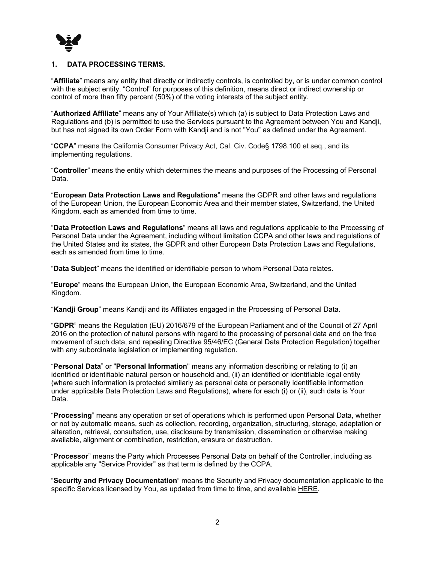

### **1. DATA PROCESSING TERMS.**

"**Affiliate**" means any entity that directly or indirectly controls, is controlled by, or is under common control with the subject entity. "Control" for purposes of this definition, means direct or indirect ownership or control of more than fifty percent (50%) of the voting interests of the subject entity.

"**Authorized Affiliate**" means any of Your Affiliate(s) which (a) is subject to Data Protection Laws and Regulations and (b) is permitted to use the Services pursuant to the Agreement between You and Kandji, but has not signed its own Order Form with Kandji and is not "You" as defined under the Agreement.

"**CCPA**" means the California Consumer Privacy Act, Cal. Civ. Code§ 1798.100 et seq., and its implementing regulations.

"**Controller**" means the entity which determines the means and purposes of the Processing of Personal Data.

"**European Data Protection Laws and Regulations**" means the GDPR and other laws and regulations of the European Union, the European Economic Area and their member states, Switzerland, the United Kingdom, each as amended from time to time.

"**Data Protection Laws and Regulations**" means all laws and regulations applicable to the Processing of Personal Data under the Agreement, including without limitation CCPA and other laws and regulations of the United States and its states, the GDPR and other European Data Protection Laws and Regulations, each as amended from time to time.

"**Data Subject**" means the identified or identifiable person to whom Personal Data relates.

"**Europe**" means the European Union, the European Economic Area, Switzerland, and the United Kingdom.

"**Kandji Group**" means Kandji and its Affiliates engaged in the Processing of Personal Data.

"**GDPR**" means the Regulation (EU) 2016/679 of the European Parliament and of the Council of 27 April 2016 on the protection of natural persons with regard to the processing of personal data and on the free movement of such data, and repealing Directive 95/46/EC (General Data Protection Regulation) together with any subordinate legislation or implementing regulation.

"**Personal Data**" or "**Personal Information**" means any information describing or relating to (i) an identified or identifiable natural person or household and, (ii) an identified or identifiable legal entity (where such information is protected similarly as personal data or personally identifiable information under applicable Data Protection Laws and Regulations), where for each (i) or (ii), such data is Your Data.

"**Processing**" means any operation or set of operations which is performed upon Personal Data, whether or not by automatic means, such as collection, recording, organization, structuring, storage, adaptation or alteration, retrieval, consultation, use, disclosure by transmission, dissemination or otherwise making available, alignment or combination, restriction, erasure or destruction.

"**Processor**" means the Party which Processes Personal Data on behalf of the Controller, including as applicable any "Service Provider" as that term is defined by the CCPA.

"**Security and Privacy Documentation**" means the Security and Privacy documentation applicable to the specific Services licensed by You, as updated from time to time, and available HERE.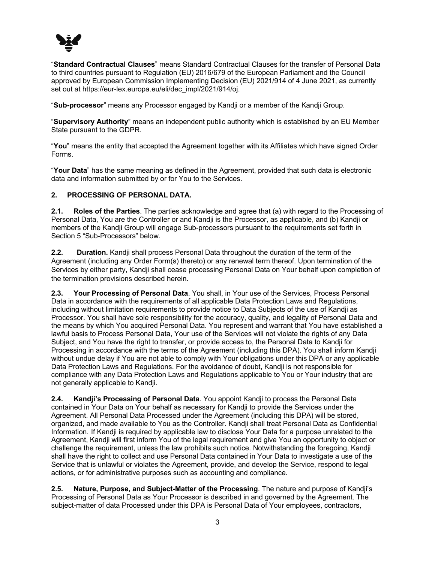

"**Standard Contractual Clauses**" means Standard Contractual Clauses for the transfer of Personal Data to third countries pursuant to Regulation (EU) 2016/679 of the European Parliament and the Council approved by European Commission Implementing Decision (EU) 2021/914 of 4 June 2021, as currently set out at https://eur-lex.europa.eu/eli/dec\_impl/2021/914/oj.

"**Sub-processor**" means any Processor engaged by Kandji or a member of the Kandji Group.

"**Supervisory Authority**" means an independent public authority which is established by an EU Member State pursuant to the GDPR.

"**You**" means the entity that accepted the Agreement together with its Affiliates which have signed Order Forms.

"**Your Data**" has the same meaning as defined in the Agreement, provided that such data is electronic data and information submitted by or for You to the Services.

## **2. PROCESSING OF PERSONAL DATA.**

**2.1. Roles of the Parties**. The parties acknowledge and agree that (a) with regard to the Processing of Personal Data, You are the Controller or and Kandji is the Processor, as applicable, and (b) Kandji or members of the Kandji Group will engage Sub-processors pursuant to the requirements set forth in Section 5 "Sub-Processors" below.

**2.2. Duration.** Kandji shall process Personal Data throughout the duration of the term of the Agreement (including any Order Form(s) thereto) or any renewal term thereof. Upon termination of the Services by either party, Kandji shall cease processing Personal Data on Your behalf upon completion of the termination provisions described herein.

**2.3. Your Processing of Personal Data**. You shall, in Your use of the Services, Process Personal Data in accordance with the requirements of all applicable Data Protection Laws and Regulations, including without limitation requirements to provide notice to Data Subjects of the use of Kandji as Processor. You shall have sole responsibility for the accuracy, quality, and legality of Personal Data and the means by which You acquired Personal Data. You represent and warrant that You have established a lawful basis to Process Personal Data, Your use of the Services will not violate the rights of any Data Subject, and You have the right to transfer, or provide access to, the Personal Data to Kandji for Processing in accordance with the terms of the Agreement (including this DPA). You shall inform Kandji without undue delay if You are not able to comply with Your obligations under this DPA or any applicable Data Protection Laws and Regulations. For the avoidance of doubt, Kandji is not responsible for compliance with any Data Protection Laws and Regulations applicable to You or Your industry that are not generally applicable to Kandji.

**2.4. Kandji's Processing of Personal Data**. You appoint Kandji to process the Personal Data contained in Your Data on Your behalf as necessary for Kandji to provide the Services under the Agreement. All Personal Data Processed under the Agreement (including this DPA) will be stored, organized, and made available to You as the Controller. Kandji shall treat Personal Data as Confidential Information. If Kandji is required by applicable law to disclose Your Data for a purpose unrelated to the Agreement, Kandji will first inform You of the legal requirement and give You an opportunity to object or challenge the requirement, unless the law prohibits such notice. Notwithstanding the foregoing, Kandji shall have the right to collect and use Personal Data contained in Your Data to investigate a use of the Service that is unlawful or violates the Agreement, provide, and develop the Service, respond to legal actions, or for administrative purposes such as accounting and compliance.

**2.5. Nature, Purpose, and Subject-Matter of the Processing**. The nature and purpose of Kandji's Processing of Personal Data as Your Processor is described in and governed by the Agreement. The subject-matter of data Processed under this DPA is Personal Data of Your employees, contractors,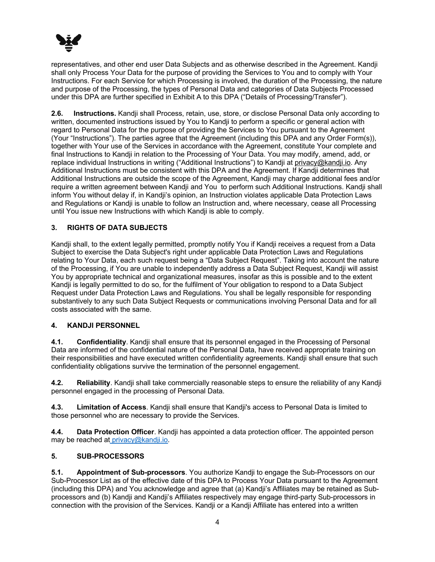

representatives, and other end user Data Subjects and as otherwise described in the Agreement. Kandji shall only Process Your Data for the purpose of providing the Services to You and to comply with Your Instructions. For each Service for which Processing is involved, the duration of the Processing, the nature and purpose of the Processing, the types of Personal Data and categories of Data Subjects Processed under this DPA are further specified in Exhibit A to this DPA ("Details of Processing/Transfer").

**2.6. Instructions.** Kandji shall Process, retain, use, store, or disclose Personal Data only according to written, documented instructions issued by You to Kandji to perform a specific or general action with regard to Personal Data for the purpose of providing the Services to You pursuant to the Agreement (Your "Instructions"). The parties agree that the Agreement (including this DPA and any Order Form(s)), together with Your use of the Services in accordance with the Agreement, constitute Your complete and final Instructions to Kandji in relation to the Processing of Your Data. You may modify, amend, add, or replace individual Instructions in writing ("Additional Instructions") to Kandji at privacy@kandji.io. Any Additional Instructions must be consistent with this DPA and the Agreement. If Kandji determines that Additional Instructions are outside the scope of the Agreement, Kandji may charge additional fees and/or require a written agreement between Kandji and You to perform such Additional Instructions. Kandji shall inform You without delay if, in Kandji's opinion, an Instruction violates applicable Data Protection Laws and Regulations or Kandji is unable to follow an Instruction and, where necessary, cease all Processing until You issue new Instructions with which Kandji is able to comply.

## **3. RIGHTS OF DATA SUBJECTS**

Kandji shall, to the extent legally permitted, promptly notify You if Kandji receives a request from a Data Subject to exercise the Data Subject's right under applicable Data Protection Laws and Regulations relating to Your Data, each such request being a "Data Subject Request". Taking into account the nature of the Processing, if You are unable to independently address a Data Subject Request, Kandji will assist You by appropriate technical and organizational measures, insofar as this is possible and to the extent Kandji is legally permitted to do so, for the fulfilment of Your obligation to respond to a Data Subject Request under Data Protection Laws and Regulations. You shall be legally responsible for responding substantively to any such Data Subject Requests or communications involving Personal Data and for all costs associated with the same.

## **4. KANDJI PERSONNEL**

**4.1. Confidentiality**. Kandji shall ensure that its personnel engaged in the Processing of Personal Data are informed of the confidential nature of the Personal Data, have received appropriate training on their responsibilities and have executed written confidentiality agreements. Kandji shall ensure that such confidentiality obligations survive the termination of the personnel engagement.

**4.2. Reliability**. Kandji shall take commercially reasonable steps to ensure the reliability of any Kandji personnel engaged in the processing of Personal Data.

**4.3. Limitation of Access**. Kandji shall ensure that Kandji's access to Personal Data is limited to those personnel who are necessary to provide the Services.

**4.4. Data Protection Officer**. Kandji has appointed a data protection officer. The appointed person may be reached at privacy@kandji.io.

### **5. SUB-PROCESSORS**

**5.1. Appointment of Sub-processors**. You authorize Kandji to engage the Sub-Processors on our Sub-Processor List as of the effective date of this DPA to Process Your Data pursuant to the Agreement (including this DPA) and You acknowledge and agree that (a) Kandji's Affiliates may be retained as Subprocessors and (b) Kandji and Kandji's Affiliates respectively may engage third-party Sub-processors in connection with the provision of the Services. Kandji or a Kandji Affiliate has entered into a written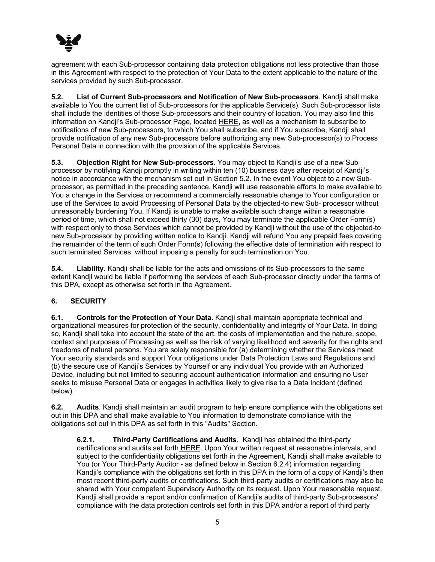

agreement with each Sub-processor containing data protection obligations not less protective than those in this Agreement with respect to the protection of Your Data to the extent applicable to the nature of the services provided by such Sub-processor.

**5.2. List of Current Sub-processors and Notification of New Sub-processors**. Kandji shall make available to You the current list of Sub-processors for the applicable Service(s). Such Sub-processor lists shall include the identities of those Sub-processors and their country of location. You may also find this information on Kandji's Sub-processor Page, located HERE, as well as a mechanism to subscribe to notifications of new Sub-processors, to which You shall subscribe, and if You subscribe, Kandji shall provide notification of any new Sub-processors before authorizing any new Sub-processor(s) to Process Personal Data in connection with the provision of the applicable Services.

**5.3. Objection Right for New Sub-processors**. You may object to Kandji's use of a new Subprocessor by notifying Kandji promptly in writing within ten (10) business days after receipt of Kandji's notice in accordance with the mechanism set out in Section 5.2. In the event You object to a new Subprocessor, as permitted in the preceding sentence, Kandji will use reasonable efforts to make available to You a change in the Services or recommend a commercially reasonable change to Your configuration or use of the Services to avoid Processing of Personal Data by the objected-to new Sub- processor without unreasonably burdening You. If Kandji is unable to make available such change within a reasonable period of time, which shall not exceed thirty (30) days, You may terminate the applicable Order Form(s) with respect only to those Services which cannot be provided by Kandji without the use of the objected-to new Sub-processor by providing written notice to Kandji. Kandji will refund You any prepaid fees covering the remainder of the term of such Order Form(s) following the effective date of termination with respect to such terminated Services, without imposing a penalty for such termination on You.

**5.4. Liability**. Kandji shall be liable for the acts and omissions of its Sub-processors to the same extent Kandji would be liable if performing the services of each Sub-processor directly under the terms of this DPA, except as otherwise set forth in the Agreement.

## **6. SECURITY**

**6.1. Controls for the Protection of Your Data**. Kandji shall maintain appropriate technical and organizational measures for protection of the security, confidentiality and integrity of Your Data. In doing so, Kandji shall take into account the state of the art, the costs of implementation and the nature, scope, context and purposes of Processing as well as the risk of varying likelihood and severity for the rights and freedoms of natural persons. You are solely responsible for (a) determining whether the Services meet Your security standards and support Your obligations under Data Protection Laws and Regulations and (b) the secure use of Kandji's Services by Yourself or any individual You provide with an Authorized Device, including but not limited to securing account authentication information and ensuring no User seeks to misuse Personal Data or engages in activities likely to give rise to a Data Incident (defined below).

**6.2. Audits**. Kandji shall maintain an audit program to help ensure compliance with the obligations set out in this DPA and shall make available to You information to demonstrate compliance with the obligations set out in this DPA as set forth in this "Audits" Section.

**6.2.1. Third-Party Certifications and Audits**. Kandji has obtained the third-party certifications and audits set forth HERE. Upon Your written request at reasonable intervals, and subject to the confidentiality obligations set forth in the Agreement, Kandji shall make available to You (or Your Third-Party Auditor - as defined below in Section 6.2.4) information regarding Kandji's compliance with the obligations set forth in this DPA in the form of a copy of Kandji's then most recent third-party audits or certifications. Such third-party audits or certifications may also be shared with Your competent Supervisory Authority on its request. Upon Your reasonable request, Kandji shall provide a report and/or confirmation of Kandji's audits of third-party Sub-processors' compliance with the data protection controls set forth in this DPA and/or a report of third party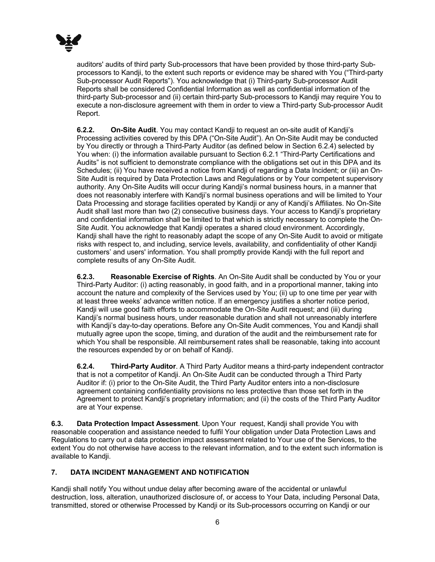

auditors' audits of third party Sub-processors that have been provided by those third-party Subprocessors to Kandji, to the extent such reports or evidence may be shared with You ("Third-party Sub-processor Audit Reports"). You acknowledge that (i) Third-party Sub-processor Audit Reports shall be considered Confidential Information as well as confidential information of the third-party Sub-processor and (ii) certain third-party Sub-processors to Kandji may require You to execute a non-disclosure agreement with them in order to view a Third-party Sub-processor Audit Report.

**6.2.2. On-Site Audit**. You may contact Kandji to request an on-site audit of Kandji's Processing activities covered by this DPA ("On-Site Audit"). An On-Site Audit may be conducted by You directly or through a Third-Party Auditor (as defined below in Section 6.2.4) selected by You when: (i) the information available pursuant to Section 6.2.1 "Third-Party Certifications and Audits" is not sufficient to demonstrate compliance with the obligations set out in this DPA and its Schedules; (ii) You have received a notice from Kandji of regarding a Data Incident; or (iii) an On-Site Audit is required by Data Protection Laws and Regulations or by Your competent supervisory authority. Any On-Site Audits will occur during Kandji's normal business hours, in a manner that does not reasonably interfere with Kandji's normal business operations and will be limited to Your Data Processing and storage facilities operated by Kandji or any of Kandji's Affiliates. No On-Site Audit shall last more than two (2) consecutive business days. Your access to Kandji's proprietary and confidential information shall be limited to that which is strictly necessary to complete the On-Site Audit. You acknowledge that Kandji operates a shared cloud environment. Accordingly, Kandji shall have the right to reasonably adapt the scope of any On-Site Audit to avoid or mitigate risks with respect to, and including, service levels, availability, and confidentiality of other Kandji customers' and users' information. You shall promptly provide Kandji with the full report and complete results of any On-Site Audit.

**6.2.3. Reasonable Exercise of Rights**. An On-Site Audit shall be conducted by You or your Third-Party Auditor: (i) acting reasonably, in good faith, and in a proportional manner, taking into account the nature and complexity of the Services used by You; (ii) up to one time per year with at least three weeks' advance written notice. If an emergency justifies a shorter notice period, Kandji will use good faith efforts to accommodate the On-Site Audit request; and (iii) during Kandji's normal business hours, under reasonable duration and shall not unreasonably interfere with Kandji's day-to-day operations. Before any On-Site Audit commences, You and Kandji shall mutually agree upon the scope, timing, and duration of the audit and the reimbursement rate for which You shall be responsible. All reimbursement rates shall be reasonable, taking into account the resources expended by or on behalf of Kandji.

**6.2.4. Third-Party Auditor**. A Third Party Auditor means a third-party independent contractor that is not a competitor of Kandji. An On-Site Audit can be conducted through a Third Party Auditor if: (i) prior to the On-Site Audit, the Third Party Auditor enters into a non-disclosure agreement containing confidentiality provisions no less protective than those set forth in the Agreement to protect Kandji's proprietary information; and (ii) the costs of the Third Party Auditor are at Your expense.

**6.3. Data Protection Impact Assessment**. Upon Your request, Kandji shall provide You with reasonable cooperation and assistance needed to fulfil Your obligation under Data Protection Laws and Regulations to carry out a data protection impact assessment related to Your use of the Services, to the extent You do not otherwise have access to the relevant information, and to the extent such information is available to Kandji.

## **7. DATA INCIDENT MANAGEMENT AND NOTIFICATION**

Kandji shall notify You without undue delay after becoming aware of the accidental or unlawful destruction, loss, alteration, unauthorized disclosure of, or access to Your Data, including Personal Data, transmitted, stored or otherwise Processed by Kandji or its Sub-processors occurring on Kandji or our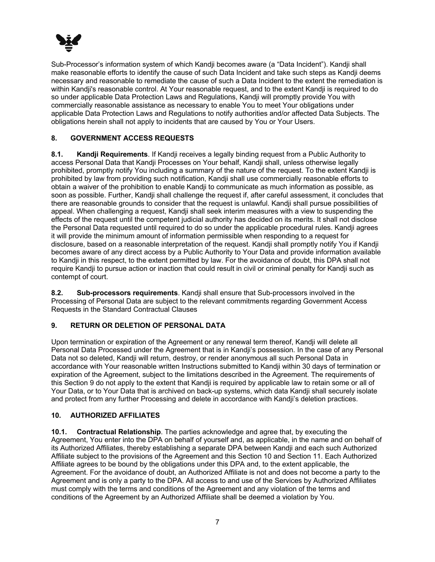

Sub-Processor's information system of which Kandji becomes aware (a "Data Incident"). Kandji shall make reasonable efforts to identify the cause of such Data Incident and take such steps as Kandji deems necessary and reasonable to remediate the cause of such a Data Incident to the extent the remediation is within Kandji's reasonable control. At Your reasonable request, and to the extent Kandji is required to do so under applicable Data Protection Laws and Regulations, Kandji will promptly provide You with commercially reasonable assistance as necessary to enable You to meet Your obligations under applicable Data Protection Laws and Regulations to notify authorities and/or affected Data Subjects. The obligations herein shall not apply to incidents that are caused by You or Your Users.

## **8. GOVERNMENT ACCESS REQUESTS**

**8.1. Kandji Requirements**. If Kandji receives a legally binding request from a Public Authority to access Personal Data that Kandji Processes on Your behalf, Kandji shall, unless otherwise legally prohibited, promptly notify You including a summary of the nature of the request. To the extent Kandji is prohibited by law from providing such notification, Kandji shall use commercially reasonable efforts to obtain a waiver of the prohibition to enable Kandji to communicate as much information as possible, as soon as possible. Further, Kandji shall challenge the request if, after careful assessment, it concludes that there are reasonable grounds to consider that the request is unlawful. Kandji shall pursue possibilities of appeal. When challenging a request, Kandji shall seek interim measures with a view to suspending the effects of the request until the competent judicial authority has decided on its merits. It shall not disclose the Personal Data requested until required to do so under the applicable procedural rules. Kandji agrees it will provide the minimum amount of information permissible when responding to a request for disclosure, based on a reasonable interpretation of the request. Kandji shall promptly notify You if Kandji becomes aware of any direct access by a Public Authority to Your Data and provide information available to Kandji in this respect, to the extent permitted by law. For the avoidance of doubt, this DPA shall not require Kandji to pursue action or inaction that could result in civil or criminal penalty for Kandji such as contempt of court.

**8.2. Sub-processors requirements**. Kandji shall ensure that Sub-processors involved in the Processing of Personal Data are subject to the relevant commitments regarding Government Access Requests in the Standard Contractual Clauses

## **9. RETURN OR DELETION OF PERSONAL DATA**

Upon termination or expiration of the Agreement or any renewal term thereof, Kandji will delete all Personal Data Processed under the Agreement that is in Kandji's possession. In the case of any Personal Data not so deleted, Kandji will return, destroy, or render anonymous all such Personal Data in accordance with Your reasonable written Instructions submitted to Kandji within 30 days of termination or expiration of the Agreement, subject to the limitations described in the Agreement. The requirements of this Section 9 do not apply to the extent that Kandji is required by applicable law to retain some or all of Your Data, or to Your Data that is archived on back-up systems, which data Kandji shall securely isolate and protect from any further Processing and delete in accordance with Kandji's deletion practices.

## **10. AUTHORIZED AFFILIATES**

**10.1. Contractual Relationship**. The parties acknowledge and agree that, by executing the Agreement, You enter into the DPA on behalf of yourself and, as applicable, in the name and on behalf of its Authorized Affiliates, thereby establishing a separate DPA between Kandji and each such Authorized Affiliate subject to the provisions of the Agreement and this Section 10 and Section 11. Each Authorized Affiliate agrees to be bound by the obligations under this DPA and, to the extent applicable, the Agreement. For the avoidance of doubt, an Authorized Affiliate is not and does not become a party to the Agreement and is only a party to the DPA. All access to and use of the Services by Authorized Affiliates must comply with the terms and conditions of the Agreement and any violation of the terms and conditions of the Agreement by an Authorized Affiliate shall be deemed a violation by You.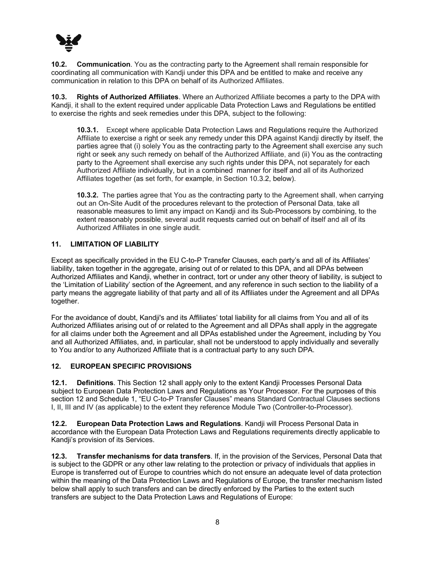

**10.2. Communication**. You as the contracting party to the Agreement shall remain responsible for coordinating all communication with Kandji under this DPA and be entitled to make and receive any communication in relation to this DPA on behalf of its Authorized Affiliates.

**10.3. Rights of Authorized Affiliates**. Where an Authorized Affiliate becomes a party to the DPA with Kandji, it shall to the extent required under applicable Data Protection Laws and Regulations be entitled to exercise the rights and seek remedies under this DPA, subject to the following:

**10.3.1.** Except where applicable Data Protection Laws and Regulations require the Authorized Affiliate to exercise a right or seek any remedy under this DPA against Kandji directly by itself, the parties agree that (i) solely You as the contracting party to the Agreement shall exercise any such right or seek any such remedy on behalf of the Authorized Affiliate, and (ii) You as the contracting party to the Agreement shall exercise any such rights under this DPA, not separately for each Authorized Affiliate individually, but in a combined manner for itself and all of its Authorized Affiliates together (as set forth, for example, in Section 10.3.2, below).

**10.3.2.** The parties agree that You as the contracting party to the Agreement shall, when carrying out an On-Site Audit of the procedures relevant to the protection of Personal Data, take all reasonable measures to limit any impact on Kandji and its Sub-Processors by combining, to the extent reasonably possible, several audit requests carried out on behalf of itself and all of its Authorized Affiliates in one single audit.

### **11. LIMITATION OF LIABILITY**

Except as specifically provided in the EU C-to-P Transfer Clauses, each party's and all of its Affiliates' liability, taken together in the aggregate, arising out of or related to this DPA, and all DPAs between Authorized Affiliates and Kandji, whether in contract, tort or under any other theory of liability, is subject to the 'Limitation of Liability' section of the Agreement, and any reference in such section to the liability of a party means the aggregate liability of that party and all of its Affiliates under the Agreement and all DPAs together.

For the avoidance of doubt, Kandji's and its Affiliates' total liability for all claims from You and all of its Authorized Affiliates arising out of or related to the Agreement and all DPAs shall apply in the aggregate for all claims under both the Agreement and all DPAs established under the Agreement, including by You and all Authorized Affiliates, and, in particular, shall not be understood to apply individually and severally to You and/or to any Authorized Affiliate that is a contractual party to any such DPA.

### **12. EUROPEAN SPECIFIC PROVISIONS**

**12.1. Definitions**. This Section 12 shall apply only to the extent Kandji Processes Personal Data subject to European Data Protection Laws and Regulations as Your Processor. For the purposes of this section 12 and Schedule 1, "EU C-to-P Transfer Clauses" means Standard Contractual Clauses sections I, II, III and IV (as applicable) to the extent they reference Module Two (Controller-to-Processor).

**12.2. European Data Protection Laws and Regulations**. Kandji will Process Personal Data in accordance with the European Data Protection Laws and Regulations requirements directly applicable to Kandji's provision of its Services.

**12.3. Transfer mechanisms for data transfers**. If, in the provision of the Services, Personal Data that is subject to the GDPR or any other law relating to the protection or privacy of individuals that applies in Europe is transferred out of Europe to countries which do not ensure an adequate level of data protection within the meaning of the Data Protection Laws and Regulations of Europe, the transfer mechanism listed below shall apply to such transfers and can be directly enforced by the Parties to the extent such transfers are subject to the Data Protection Laws and Regulations of Europe: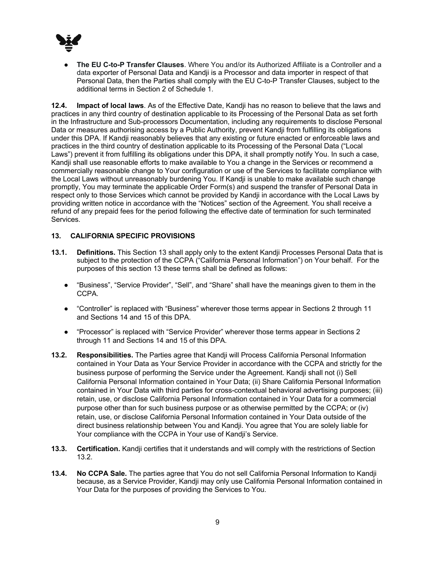

● **The EU C-to-P Transfer Clauses**. Where You and/or its Authorized Affiliate is a Controller and a data exporter of Personal Data and Kandji is a Processor and data importer in respect of that Personal Data, then the Parties shall comply with the EU C-to-P Transfer Clauses, subject to the additional terms in Section 2 of Schedule 1.

**12.4. Impact of local laws**. As of the Effective Date, Kandji has no reason to believe that the laws and practices in any third country of destination applicable to its Processing of the Personal Data as set forth in the Infrastructure and Sub-processors Documentation, including any requirements to disclose Personal Data or measures authorising access by a Public Authority, prevent Kandji from fulfilling its obligations under this DPA. If Kandji reasonably believes that any existing or future enacted or enforceable laws and practices in the third country of destination applicable to its Processing of the Personal Data ("Local Laws") prevent it from fulfilling its obligations under this DPA, it shall promptly notify You. In such a case, Kandji shall use reasonable efforts to make available to You a change in the Services or recommend a commercially reasonable change to Your configuration or use of the Services to facilitate compliance with the Local Laws without unreasonably burdening You. If Kandji is unable to make available such change promptly, You may terminate the applicable Order Form(s) and suspend the transfer of Personal Data in respect only to those Services which cannot be provided by Kandji in accordance with the Local Laws by providing written notice in accordance with the "Notices" section of the Agreement. You shall receive a refund of any prepaid fees for the period following the effective date of termination for such terminated Services.

## **13. CALIFORNIA SPECIFIC PROVISIONS**

- **13.1. Definitions.** This Section 13 shall apply only to the extent Kandji Processes Personal Data that is subject to the protection of the CCPA ("California Personal Information") on Your behalf. For the purposes of this section 13 these terms shall be defined as follows:
	- "Business", "Service Provider", "Sell", and "Share" shall have the meanings given to them in the CCPA.
	- "Controller" is replaced with "Business" wherever those terms appear in Sections 2 through 11 and Sections 14 and 15 of this DPA.
	- "Processor" is replaced with "Service Provider" wherever those terms appear in Sections 2 through 11 and Sections 14 and 15 of this DPA.
- **13.2. Responsibilities.** The Parties agree that Kandji will Process California Personal Information contained in Your Data as Your Service Provider in accordance with the CCPA and strictly for the business purpose of performing the Service under the Agreement. Kandji shall not (i) Sell California Personal Information contained in Your Data; (ii) Share California Personal Information contained in Your Data with third parties for cross-contextual behavioral advertising purposes; (iii) retain, use, or disclose California Personal Information contained in Your Data for a commercial purpose other than for such business purpose or as otherwise permitted by the CCPA; or (iv) retain, use, or disclose California Personal Information contained in Your Data outside of the direct business relationship between You and Kandji. You agree that You are solely liable for Your compliance with the CCPA in Your use of Kandji's Service.
- **13.3. Certification.** Kandji certifies that it understands and will comply with the restrictions of Section 13.2.
- **13.4. No CCPA Sale.** The parties agree that You do not sell California Personal Information to Kandji because, as a Service Provider, Kandji may only use California Personal Information contained in Your Data for the purposes of providing the Services to You.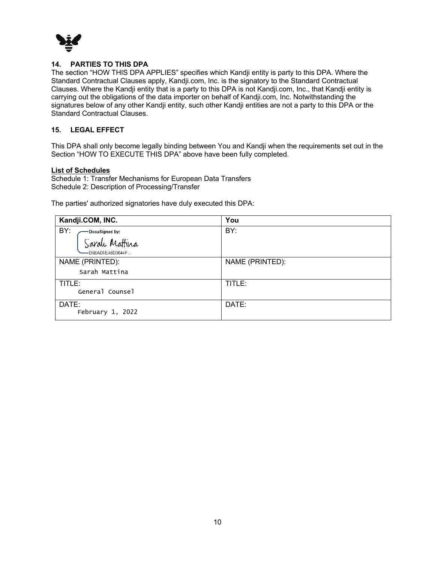

### **14. PARTIES TO THIS DPA**

The section "HOW THIS DPA APPLIES" specifies which Kandji entity is party to this DPA. Where the Standard Contractual Clauses apply, Kandji.com, Inc. is the signatory to the Standard Contractual Clauses. Where the Kandji entity that is a party to this DPA is not Kandji.com, Inc., that Kandji entity is carrying out the obligations of the data importer on behalf of Kandji.com, Inc. Notwithstanding the signatures below of any other Kandji entity, such other Kandji entities are not a party to this DPA or the Standard Contractual Clauses.

### **15. LEGAL EFFECT**

This DPA shall only become legally binding between You and Kandji when the requirements set out in the Section "HOW TO EXECUTE THIS DPA" above have been fully completed.

### **List of Schedules**

Schedule 1: Transfer Mechanisms for European Data Transfers Schedule 2: Description of Processing/Transfer

The parties' authorized signatories have duly executed this DPA:

| Kandji.COM, INC.       | You             |
|------------------------|-----------------|
| BY:<br>-DocuSigned by: | BY:             |
| Sarah Mattina          |                 |
| -D5EAD0EA9D3644F       |                 |
| NAME (PRINTED):        | NAME (PRINTED): |
| Sarah Mattina          |                 |
| TITLE:                 | TITLE:          |
| General Counsel        |                 |
| DATE:                  | DATE:           |
| February 1, 2022       |                 |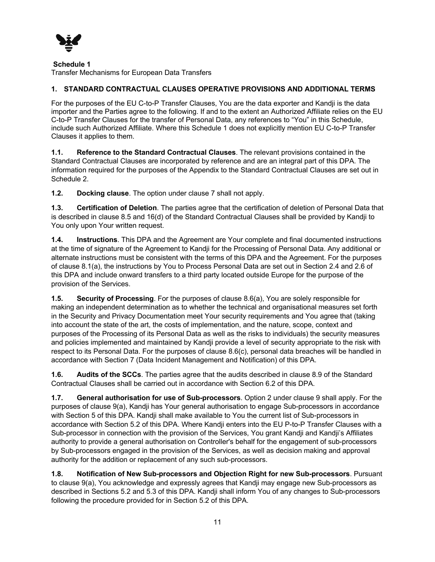

### **Schedule 1**

Transfer Mechanisms for European Data Transfers

## **1. STANDARD CONTRACTUAL CLAUSES OPERATIVE PROVISIONS AND ADDITIONAL TERMS**

For the purposes of the EU C-to-P Transfer Clauses, You are the data exporter and Kandji is the data importer and the Parties agree to the following. If and to the extent an Authorized Affiliate relies on the EU C-to-P Transfer Clauses for the transfer of Personal Data, any references to "You" in this Schedule, include such Authorized Affiliate. Where this Schedule 1 does not explicitly mention EU C-to-P Transfer Clauses it applies to them.

**1.1. Reference to the Standard Contractual Clauses**. The relevant provisions contained in the Standard Contractual Clauses are incorporated by reference and are an integral part of this DPA. The information required for the purposes of the Appendix to the Standard Contractual Clauses are set out in Schedule 2.

**1.2. Docking clause**. The option under clause 7 shall not apply.

**1.3. Certification of Deletion**. The parties agree that the certification of deletion of Personal Data that is described in clause 8.5 and 16(d) of the Standard Contractual Clauses shall be provided by Kandji to You only upon Your written request.

**1.4. Instructions**. This DPA and the Agreement are Your complete and final documented instructions at the time of signature of the Agreement to Kandji for the Processing of Personal Data. Any additional or alternate instructions must be consistent with the terms of this DPA and the Agreement. For the purposes of clause 8.1(a), the instructions by You to Process Personal Data are set out in Section 2.4 and 2.6 of this DPA and include onward transfers to a third party located outside Europe for the purpose of the provision of the Services.

**1.5. Security of Processing**. For the purposes of clause 8.6(a), You are solely responsible for making an independent determination as to whether the technical and organisational measures set forth in the Security and Privacy Documentation meet Your security requirements and You agree that (taking into account the state of the art, the costs of implementation, and the nature, scope, context and purposes of the Processing of its Personal Data as well as the risks to individuals) the security measures and policies implemented and maintained by Kandji provide a level of security appropriate to the risk with respect to its Personal Data. For the purposes of clause 8.6(c), personal data breaches will be handled in accordance with Section 7 (Data Incident Management and Notification) of this DPA.

**1.6. Audits of the SCCs**. The parties agree that the audits described in clause 8.9 of the Standard Contractual Clauses shall be carried out in accordance with Section 6.2 of this DPA.

**1.7. General authorisation for use of Sub-processors**. Option 2 under clause 9 shall apply. For the purposes of clause 9(a), Kandji has Your general authorisation to engage Sub-processors in accordance with Section 5 of this DPA. Kandji shall make available to You the current list of Sub-processors in accordance with Section 5.2 of this DPA. Where Kandji enters into the EU P-to-P Transfer Clauses with a Sub-processor in connection with the provision of the Services, You grant Kandji and Kandji's Affiliates authority to provide a general authorisation on Controller's behalf for the engagement of sub-processors by Sub-processors engaged in the provision of the Services, as well as decision making and approval authority for the addition or replacement of any such sub-processors.

**1.8. Notification of New Sub-processors and Objection Right for new Sub-processors**. Pursuant to clause 9(a), You acknowledge and expressly agrees that Kandji may engage new Sub-processors as described in Sections 5.2 and 5.3 of this DPA. Kandji shall inform You of any changes to Sub-processors following the procedure provided for in Section 5.2 of this DPA.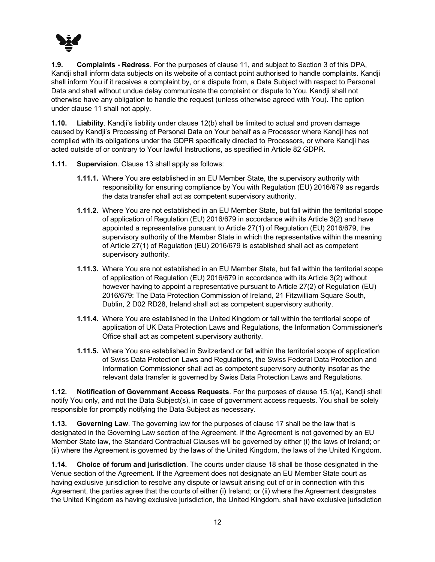

**1.9. Complaints - Redress**. For the purposes of clause 11, and subject to Section 3 of this DPA, Kandji shall inform data subjects on its website of a contact point authorised to handle complaints. Kandji shall inform You if it receives a complaint by, or a dispute from, a Data Subject with respect to Personal Data and shall without undue delay communicate the complaint or dispute to You. Kandji shall not otherwise have any obligation to handle the request (unless otherwise agreed with You). The option under clause 11 shall not apply.

**1.10. Liability**. Kandji's liability under clause 12(b) shall be limited to actual and proven damage caused by Kandji's Processing of Personal Data on Your behalf as a Processor where Kandji has not complied with its obligations under the GDPR specifically directed to Processors, or where Kandji has acted outside of or contrary to Your lawful Instructions, as specified in Article 82 GDPR.

- **1.11. Supervision**. Clause 13 shall apply as follows:
	- **1.11.1.** Where You are established in an EU Member State, the supervisory authority with responsibility for ensuring compliance by You with Regulation (EU) 2016/679 as regards the data transfer shall act as competent supervisory authority.
	- **1.11.2.** Where You are not established in an EU Member State, but fall within the territorial scope of application of Regulation (EU) 2016/679 in accordance with its Article 3(2) and have appointed a representative pursuant to Article 27(1) of Regulation (EU) 2016/679, the supervisory authority of the Member State in which the representative within the meaning of Article 27(1) of Regulation (EU) 2016/679 is established shall act as competent supervisory authority.
	- **1.11.3.** Where You are not established in an EU Member State, but fall within the territorial scope of application of Regulation (EU) 2016/679 in accordance with its Article 3(2) without however having to appoint a representative pursuant to Article 27(2) of Regulation (EU) 2016/679: The Data Protection Commission of Ireland, 21 Fitzwilliam Square South, Dublin, 2 D02 RD28, Ireland shall act as competent supervisory authority.
	- **1.11.4.** Where You are established in the United Kingdom or fall within the territorial scope of application of UK Data Protection Laws and Regulations, the Information Commissioner's Office shall act as competent supervisory authority.
	- **1.11.5.** Where You are established in Switzerland or fall within the territorial scope of application of Swiss Data Protection Laws and Regulations, the Swiss Federal Data Protection and Information Commissioner shall act as competent supervisory authority insofar as the relevant data transfer is governed by Swiss Data Protection Laws and Regulations.

**1.12. Notification of Government Access Requests**. For the purposes of clause 15.1(a), Kandji shall notify You only, and not the Data Subject(s), in case of government access requests. You shall be solely responsible for promptly notifying the Data Subject as necessary.

**1.13. Governing Law**. The governing law for the purposes of clause 17 shall be the law that is designated in the Governing Law section of the Agreement. If the Agreement is not governed by an EU Member State law, the Standard Contractual Clauses will be governed by either (i) the laws of Ireland; or (ii) where the Agreement is governed by the laws of the United Kingdom, the laws of the United Kingdom.

**1.14. Choice of forum and jurisdiction**. The courts under clause 18 shall be those designated in the Venue section of the Agreement. If the Agreement does not designate an EU Member State court as having exclusive jurisdiction to resolve any dispute or lawsuit arising out of or in connection with this Agreement, the parties agree that the courts of either (i) Ireland; or (ii) where the Agreement designates the United Kingdom as having exclusive jurisdiction, the United Kingdom, shall have exclusive jurisdiction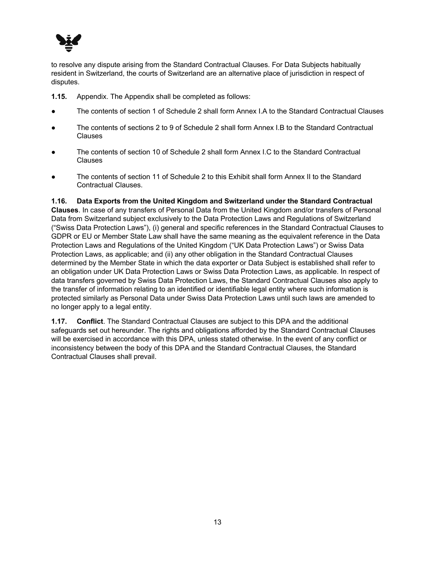

to resolve any dispute arising from the Standard Contractual Clauses. For Data Subjects habitually resident in Switzerland, the courts of Switzerland are an alternative place of jurisdiction in respect of disputes.

- **1.15.** Appendix. The Appendix shall be completed as follows:
- The contents of section 1 of Schedule 2 shall form Annex I.A to the Standard Contractual Clauses
- The contents of sections 2 to 9 of Schedule 2 shall form Annex I.B to the Standard Contractual Clauses
- The contents of section 10 of Schedule 2 shall form Annex I.C to the Standard Contractual Clauses
- The contents of section 11 of Schedule 2 to this Exhibit shall form Annex II to the Standard Contractual Clauses.

### **1.16. Data Exports from the United Kingdom and Switzerland under the Standard Contractual**

**Clauses**. In case of any transfers of Personal Data from the United Kingdom and/or transfers of Personal Data from Switzerland subject exclusively to the Data Protection Laws and Regulations of Switzerland ("Swiss Data Protection Laws"), (i) general and specific references in the Standard Contractual Clauses to GDPR or EU or Member State Law shall have the same meaning as the equivalent reference in the Data Protection Laws and Regulations of the United Kingdom ("UK Data Protection Laws") or Swiss Data Protection Laws, as applicable; and (ii) any other obligation in the Standard Contractual Clauses determined by the Member State in which the data exporter or Data Subject is established shall refer to an obligation under UK Data Protection Laws or Swiss Data Protection Laws, as applicable. In respect of data transfers governed by Swiss Data Protection Laws, the Standard Contractual Clauses also apply to the transfer of information relating to an identified or identifiable legal entity where such information is protected similarly as Personal Data under Swiss Data Protection Laws until such laws are amended to no longer apply to a legal entity.

**1.17. Conflict**. The Standard Contractual Clauses are subject to this DPA and the additional safeguards set out hereunder. The rights and obligations afforded by the Standard Contractual Clauses will be exercised in accordance with this DPA, unless stated otherwise. In the event of any conflict or inconsistency between the body of this DPA and the Standard Contractual Clauses, the Standard Contractual Clauses shall prevail.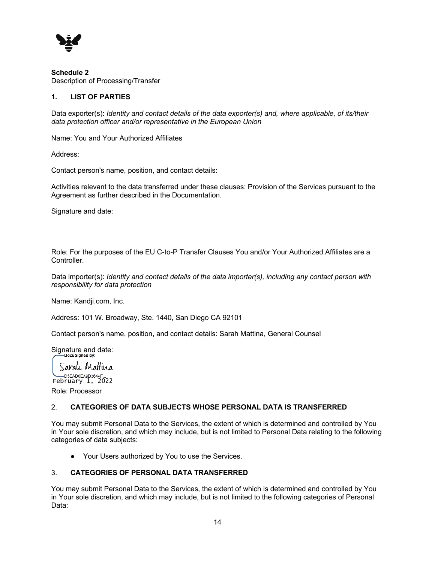

**Schedule 2** Description of Processing/Transfer

## **1. LIST OF PARTIES**

Data exporter(s): *Identity and contact details of the data exporter(s) and, where applicable, of its/their data protection officer and/or representative in the European Union*

Name: You and Your Authorized Affiliates

Address:

Contact person's name, position, and contact details:

Activities relevant to the data transferred under these clauses: Provision of the Services pursuant to the Agreement as further described in the Documentation.

Signature and date:

Role: For the purposes of the EU C-to-P Transfer Clauses You and/or Your Authorized Affiliates are a Controller.

Data importer(s): *Identity and contact details of the data importer(s), including any contact person with responsibility for data protection*

Name: Kandji.com, Inc.

Address: 101 W. Broadway, Ste. 1440, San Diego CA 92101

Contact person's name, position, and contact details: Sarah Mattina, General Counsel

Signature and date:

Sarah Mattina -D5EAD0EA9D3644F February 1, 2022

Role: Processor

## 2. **CATEGORIES OF DATA SUBJECTS WHOSE PERSONAL DATA IS TRANSFERRED**

You may submit Personal Data to the Services, the extent of which is determined and controlled by You in Your sole discretion, and which may include, but is not limited to Personal Data relating to the following categories of data subjects:

● Your Users authorized by You to use the Services.

## 3. **CATEGORIES OF PERSONAL DATA TRANSFERRED**

You may submit Personal Data to the Services, the extent of which is determined and controlled by You in Your sole discretion, and which may include, but is not limited to the following categories of Personal Data: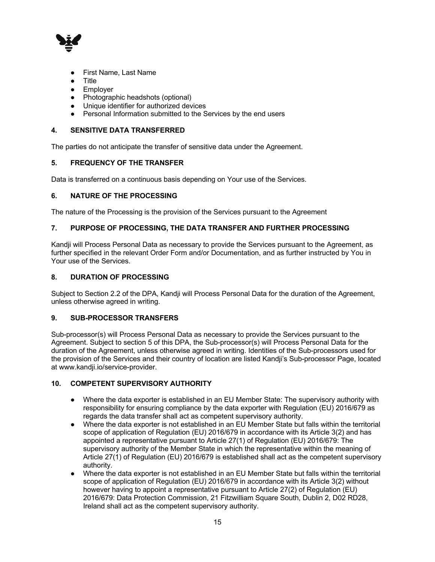

- **First Name, Last Name**
- **Title**
- Employer
- Photographic headshots (optional)
- Unique identifier for authorized devices
- Personal Information submitted to the Services by the end users

### **4. SENSITIVE DATA TRANSFERRED**

The parties do not anticipate the transfer of sensitive data under the Agreement.

### **5. FREQUENCY OF THE TRANSFER**

Data is transferred on a continuous basis depending on Your use of the Services.

## **6. NATURE OF THE PROCESSING**

The nature of the Processing is the provision of the Services pursuant to the Agreement

### **7. PURPOSE OF PROCESSING, THE DATA TRANSFER AND FURTHER PROCESSING**

Kandji will Process Personal Data as necessary to provide the Services pursuant to the Agreement, as further specified in the relevant Order Form and/or Documentation, and as further instructed by You in Your use of the Services.

### **8. DURATION OF PROCESSING**

Subject to Section 2.2 of the DPA, Kandji will Process Personal Data for the duration of the Agreement, unless otherwise agreed in writing.

### **9. SUB-PROCESSOR TRANSFERS**

Sub-processor(s) will Process Personal Data as necessary to provide the Services pursuant to the Agreement. Subject to section 5 of this DPA, the Sub-processor(s) will Process Personal Data for the duration of the Agreement, unless otherwise agreed in writing. Identities of the Sub-processors used for the provision of the Services and their country of location are listed Kandji's Sub-processor Page, located at www.kandji.io/service-provider.

### **10. COMPETENT SUPERVISORY AUTHORITY**

- Where the data exporter is established in an EU Member State: The supervisory authority with responsibility for ensuring compliance by the data exporter with Regulation (EU) 2016/679 as regards the data transfer shall act as competent supervisory authority.
- Where the data exporter is not established in an EU Member State but falls within the territorial scope of application of Regulation (EU) 2016/679 in accordance with its Article 3(2) and has appointed a representative pursuant to Article 27(1) of Regulation (EU) 2016/679: The supervisory authority of the Member State in which the representative within the meaning of Article 27(1) of Regulation (EU) 2016/679 is established shall act as the competent supervisory authority.
- Where the data exporter is not established in an EU Member State but falls within the territorial scope of application of Regulation (EU) 2016/679 in accordance with its Article 3(2) without however having to appoint a representative pursuant to Article 27(2) of Regulation (EU) 2016/679: Data Protection Commission, 21 Fitzwilliam Square South, Dublin 2, D02 RD28, Ireland shall act as the competent supervisory authority.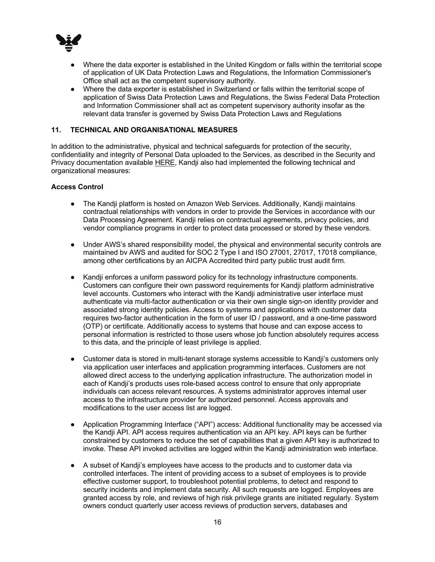

- Where the data exporter is established in the United Kingdom or falls within the territorial scope of application of UK Data Protection Laws and Regulations, the Information Commissioner's Office shall act as the competent supervisory authority.
- Where the data exporter is established in Switzerland or falls within the territorial scope of application of Swiss Data Protection Laws and Regulations, the Swiss Federal Data Protection and Information Commissioner shall act as competent supervisory authority insofar as the relevant data transfer is governed by Swiss Data Protection Laws and Regulations

### **11. TECHNICAL AND ORGANISATIONAL MEASURES**

In addition to the administrative, physical and technical safeguards for protection of the security, confidentiality and integrity of Personal Data uploaded to the Services, as described in the Security and Privacy documentation available HERE, Kandji also had implemented the following technical and organizational measures:

### **Access Control**

- The Kandji platform is hosted on Amazon Web Services. Additionally, Kandji maintains contractual relationships with vendors in order to provide the Services in accordance with our Data Processing Agreement. Kandji relies on contractual agreements, privacy policies, and vendor compliance programs in order to protect data processed or stored by these vendors.
- Under AWS's shared responsibility model, the physical and environmental security controls are maintained bv AWS and audited for SOC 2 Type I and ISO 27001, 27017, 17018 compliance, among other certifications by an AICPA Accredited third party public trust audit firm.
- Kandji enforces a uniform password policy for its technology infrastructure components. Customers can configure their own password requirements for Kandji platform administrative level accounts. Customers who interact with the Kandji administrative user interface must authenticate via multi-factor authentication or via their own single sign-on identity provider and associated strong identity policies. Access to systems and applications with customer data requires two-factor authentication in the form of user ID / password, and a one-time password (OTP) or certificate. Additionally access to systems that house and can expose access to personal information is restricted to those users whose job function absolutely requires access to this data, and the principle of least privilege is applied.
- Customer data is stored in multi-tenant storage systems accessible to Kandji's customers only via application user interfaces and application programming interfaces. Customers are not allowed direct access to the underlying application infrastructure. The authorization model in each of Kandji's products uses role-based access control to ensure that only appropriate individuals can access relevant resources. A systems administrator approves internal user access to the infrastructure provider for authorized personnel. Access approvals and modifications to the user access list are logged.
- Application Programming Interface ("API") access: Additional functionality may be accessed via the Kandji API. API access requires authentication via an API key. API keys can be further constrained by customers to reduce the set of capabilities that a given API key is authorized to invoke. These API invoked activities are logged within the Kandji administration web interface.
- A subset of Kandji's employees have access to the products and to customer data via controlled interfaces. The intent of providing access to a subset of employees is to provide effective customer support, to troubleshoot potential problems, to detect and respond to security incidents and implement data security. All such requests are logged. Employees are granted access by role, and reviews of high risk privilege grants are initiated regularly. System owners conduct quarterly user access reviews of production servers, databases and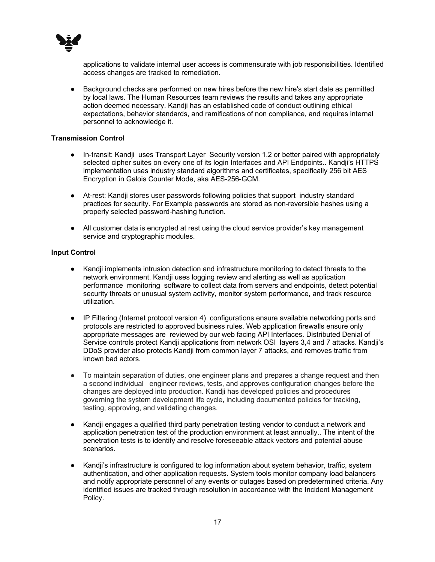

applications to validate internal user access is commensurate with job responsibilities. Identified access changes are tracked to remediation.

● Background checks are performed on new hires before the new hire's start date as permitted by local laws. The Human Resources team reviews the results and takes any appropriate action deemed necessary. Kandji has an established code of conduct outlining ethical expectations, behavior standards, and ramifications of non compliance, and requires internal personnel to acknowledge it.

### **Transmission Control**

- In-transit: Kandji uses Transport Layer Security version 1.2 or better paired with appropriately selected cipher suites on every one of its login Interfaces and API Endpoints.. Kandji's HTTPS implementation uses industry standard algorithms and certificates, specifically 256 bit AES Encryption in Galois Counter Mode, aka AES-256-GCM.
- At-rest: Kandji stores user passwords following policies that support industry standard practices for security. For Example passwords are stored as non-reversible hashes using a properly selected password-hashing function.
- All customer data is encrypted at rest using the cloud service provider's key management service and cryptographic modules.

### **Input Control**

- Kandji implements intrusion detection and infrastructure monitoring to detect threats to the network environment. Kandji uses logging review and alerting as well as application performance monitoring software to collect data from servers and endpoints, detect potential security threats or unusual system activity, monitor system performance, and track resource utilization.
- IP Filtering (Internet protocol version 4) configurations ensure available networking ports and protocols are restricted to approved business rules. Web application firewalls ensure only appropriate messages are reviewed by our web facing API Interfaces. Distributed Denial of Service controls protect Kandji applications from network OSI layers 3,4 and 7 attacks. Kandji's DDoS provider also protects Kandji from common layer 7 attacks, and removes traffic from known bad actors.
- To maintain separation of duties, one engineer plans and prepares a change request and then a second individual engineer reviews, tests, and approves configuration changes before the changes are deployed into production. Kandji has developed policies and procedures governing the system development life cycle, including documented policies for tracking, testing, approving, and validating changes.
- Kandji engages a qualified third party penetration testing vendor to conduct a network and application penetration test of the production environment at least annually.. The intent of the penetration tests is to identify and resolve foreseeable attack vectors and potential abuse scenarios.
- Kandji's infrastructure is configured to log information about system behavior, traffic, system authentication, and other application requests. System tools monitor company load balancers and notify appropriate personnel of any events or outages based on predetermined criteria. Any identified issues are tracked through resolution in accordance with the Incident Management Policy.